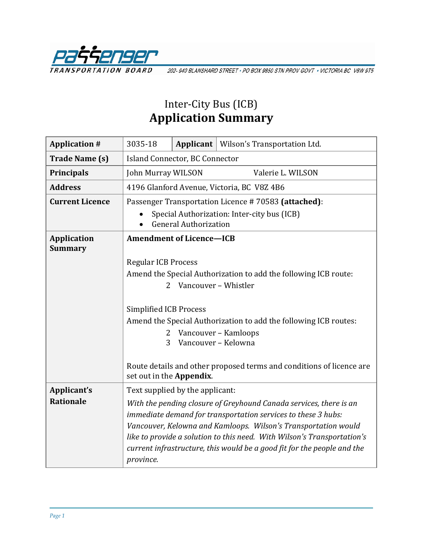

202-940 BLANSHARD STREET · PO BOX 9850 STN PROV GOVT · VICTORIA BC V8W 9T5

# Inter-City Bus (ICB) **Application Summary**

| <b>Application #</b>                 | 3035-18                                                                     |  | Applicant   Wilson's Transportation Ltd.                                |
|--------------------------------------|-----------------------------------------------------------------------------|--|-------------------------------------------------------------------------|
| <b>Trade Name (s)</b>                | Island Connector, BC Connector                                              |  |                                                                         |
| <b>Principals</b>                    | John Murray WILSON                                                          |  | Valerie L. WILSON                                                       |
| <b>Address</b>                       | 4196 Glanford Avenue, Victoria, BC V8Z 4B6                                  |  |                                                                         |
| <b>Current Licence</b>               | Passenger Transportation Licence #70583 (attached):                         |  |                                                                         |
|                                      | Special Authorization: Inter-city bus (ICB)<br><b>General Authorization</b> |  |                                                                         |
| <b>Application</b><br><b>Summary</b> | <b>Amendment of Licence-ICB</b>                                             |  |                                                                         |
|                                      | <b>Regular ICB Process</b>                                                  |  |                                                                         |
|                                      | Amend the Special Authorization to add the following ICB route:             |  |                                                                         |
|                                      | Vancouver - Whistler<br>2                                                   |  |                                                                         |
|                                      |                                                                             |  |                                                                         |
|                                      | Simplified ICB Process                                                      |  |                                                                         |
|                                      | Amend the Special Authorization to add the following ICB routes:            |  |                                                                         |
|                                      | Vancouver - Kamloops<br>2                                                   |  |                                                                         |
|                                      | 3                                                                           |  | Vancouver - Kelowna                                                     |
|                                      | set out in the Appendix.                                                    |  | Route details and other proposed terms and conditions of licence are    |
| Applicant's                          | Text supplied by the applicant:                                             |  |                                                                         |
| <b>Rationale</b>                     | With the pending closure of Greyhound Canada services, there is an          |  |                                                                         |
|                                      | immediate demand for transportation services to these 3 hubs:               |  |                                                                         |
|                                      | Vancouver, Kelowna and Kamloops. Wilson's Transportation would              |  |                                                                         |
|                                      | like to provide a solution to this need. With Wilson's Transportation's     |  |                                                                         |
|                                      | province.                                                                   |  | current infrastructure, this would be a good fit for the people and the |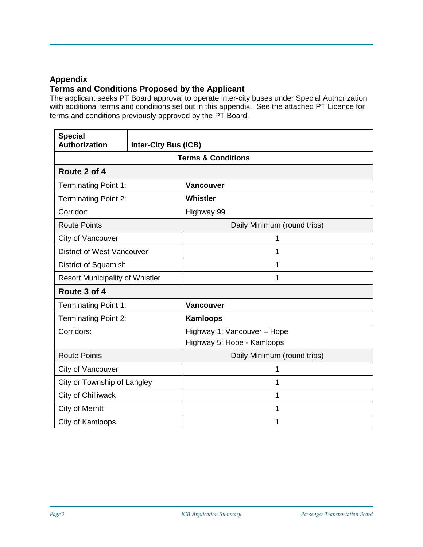### **Appendix**

## **Terms and Conditions Proposed by the Applicant**

The applicant seeks PT Board approval to operate inter-city buses under Special Authorization with additional terms and conditions set out in this appendix. See the attached PT Licence for terms and conditions previously approved by the PT Board.

| <b>Special</b><br>Authorization        | <b>Inter-City Bus (ICB)</b> |                             |  |  |
|----------------------------------------|-----------------------------|-----------------------------|--|--|
| <b>Terms &amp; Conditions</b>          |                             |                             |  |  |
| Route 2 of 4                           |                             |                             |  |  |
| <b>Terminating Point 1:</b>            |                             | <b>Vancouver</b>            |  |  |
| <b>Terminating Point 2:</b>            |                             | Whistler                    |  |  |
| Corridor:                              |                             | Highway 99                  |  |  |
| <b>Route Points</b>                    |                             | Daily Minimum (round trips) |  |  |
| City of Vancouver                      |                             | 1                           |  |  |
| <b>District of West Vancouver</b>      |                             | 1                           |  |  |
| District of Squamish                   |                             | 1                           |  |  |
| <b>Resort Municipality of Whistler</b> |                             | 1                           |  |  |
| Route 3 of 4                           |                             |                             |  |  |
| <b>Terminating Point 1:</b>            |                             | <b>Vancouver</b>            |  |  |
| <b>Terminating Point 2:</b>            |                             | <b>Kamloops</b>             |  |  |
| Corridors:                             |                             | Highway 1: Vancouver - Hope |  |  |
|                                        |                             | Highway 5: Hope - Kamloops  |  |  |
| <b>Route Points</b>                    |                             | Daily Minimum (round trips) |  |  |
| City of Vancouver                      |                             | 1                           |  |  |
| City or Township of Langley            |                             | 1                           |  |  |
| City of Chilliwack                     |                             | 1                           |  |  |
| <b>City of Merritt</b>                 |                             | 1                           |  |  |
| City of Kamloops                       |                             | 1                           |  |  |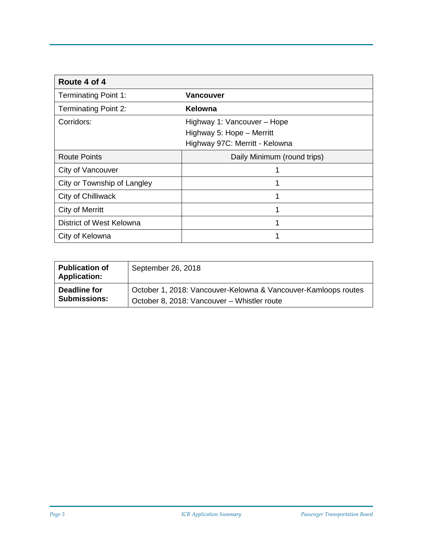| Route 4 of 4                |                                                                                            |  |  |  |
|-----------------------------|--------------------------------------------------------------------------------------------|--|--|--|
| <b>Terminating Point 1:</b> | Vancouver                                                                                  |  |  |  |
| <b>Terminating Point 2:</b> | Kelowna                                                                                    |  |  |  |
| Corridors:                  | Highway 1: Vancouver - Hope<br>Highway 5: Hope - Merritt<br>Highway 97C: Merritt - Kelowna |  |  |  |
| <b>Route Points</b>         | Daily Minimum (round trips)                                                                |  |  |  |
| City of Vancouver           | 1                                                                                          |  |  |  |
| City or Township of Langley | 1                                                                                          |  |  |  |
| City of Chilliwack          | 1                                                                                          |  |  |  |
| City of Merritt             |                                                                                            |  |  |  |
| District of West Kelowna    | 1                                                                                          |  |  |  |
| City of Kelowna             | 1                                                                                          |  |  |  |

| <b>Publication of</b><br><b>Application:</b> | September 26, 2018                                             |
|----------------------------------------------|----------------------------------------------------------------|
| Deadline for                                 | October 1, 2018: Vancouver-Kelowna & Vancouver-Kamloops routes |
| <b>Submissions:</b>                          | October 8, 2018: Vancouver – Whistler route                    |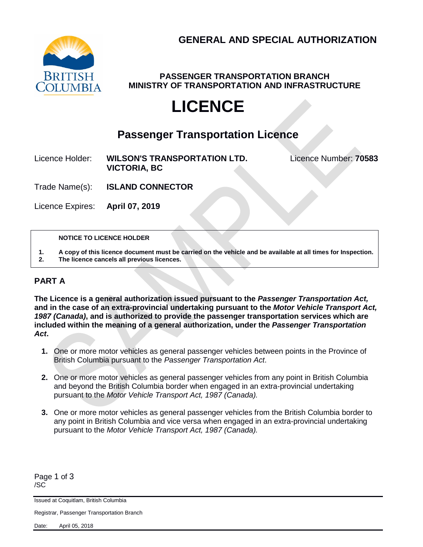

**PASSENGER TRANSPORTATION BRANCH MINISTRY OF TRANSPORTATION AND INFRASTRUCTURE**

# **LICENCE**

# **Passenger Transportation Licence**

Licence Holder: **WILSON'S TRANSPORTATION LTD.** Licence Number: **70583 VICTORIA, BC**

Trade Name(s): **ISLAND CONNECTOR**

Licence Expires: **April 07, 2019**

#### **NOTICE TO LICENCE HOLDER**

**1. A copy of this licence document must be carried on the vehicle and be available at all times for Inspection. 2. The licence cancels all previous licences.**

### **PART A**

**The Licence is a general authorization issued pursuant to the** *Passenger Transportation Act,*  **and in the case of an extra-provincial undertaking pursuant to the** *Motor Vehicle Transport Act, 1987 (Canada)***, and is authorized to provide the passenger transportation services which are included within the meaning of a general authorization, under the** *Passenger Transportation Act***.**

- **1.** One or more motor vehicles as general passenger vehicles between points in the Province of British Columbia pursuant to the *Passenger Transportation Act*.
- **2.** One or more motor vehicles as general passenger vehicles from any point in British Columbia and beyond the British Columbia border when engaged in an extra-provincial undertaking pursuant to the *Motor Vehicle Transport Act, 1987 (Canada).*
- **3.** One or more motor vehicles as general passenger vehicles from the British Columbia border to any point in British Columbia and vice versa when engaged in an extra-provincial undertaking pursuant to the *Motor Vehicle Transport Act, 1987 (Canada).*

Page 1 of 3 /SC

Issued at Coquitlam, British Columbia

Registrar, Passenger Transportation Branch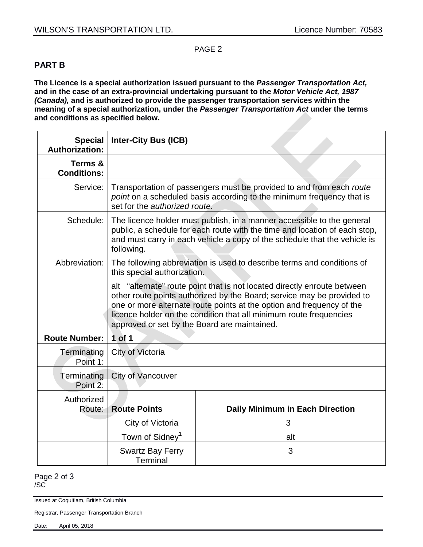#### PAGE 2

### **PART B**

**The Licence is a special authorization issued pursuant to the** *Passenger Transportation Act,*  **and in the case of an extra-provincial undertaking pursuant to the** *Motor Vehicle Act, 1987 (Canada),* **and is authorized to provide the passenger transportation services within the meaning of a special authorization, under the** *Passenger Transportation Act* **under the terms and conditions as specified below.**

| <b>Special</b><br><b>Authorization:</b> | <b>Inter-City Bus (ICB)</b>                                                                                                                                                                                                                                                                                                                       |                                        |  |  |
|-----------------------------------------|---------------------------------------------------------------------------------------------------------------------------------------------------------------------------------------------------------------------------------------------------------------------------------------------------------------------------------------------------|----------------------------------------|--|--|
| Terms &<br><b>Conditions:</b>           |                                                                                                                                                                                                                                                                                                                                                   |                                        |  |  |
| Service:                                | Transportation of passengers must be provided to and from each route<br>point on a scheduled basis according to the minimum frequency that is<br>set for the authorized route.                                                                                                                                                                    |                                        |  |  |
| Schedule:                               | The licence holder must publish, in a manner accessible to the general<br>public, a schedule for each route with the time and location of each stop,<br>and must carry in each vehicle a copy of the schedule that the vehicle is<br>following.                                                                                                   |                                        |  |  |
| Abbreviation:                           | The following abbreviation is used to describe terms and conditions of<br>this special authorization.                                                                                                                                                                                                                                             |                                        |  |  |
|                                         | alt "alternate" route point that is not located directly enroute between<br>other route points authorized by the Board; service may be provided to<br>one or more alternate route points at the option and frequency of the<br>licence holder on the condition that all minimum route frequencies<br>approved or set by the Board are maintained. |                                        |  |  |
| <b>Route Number:</b>                    | 1 of 1                                                                                                                                                                                                                                                                                                                                            |                                        |  |  |
| Terminating<br>Point 1:                 | City of Victoria                                                                                                                                                                                                                                                                                                                                  |                                        |  |  |
| Terminating<br>Point 2:                 | City of Vancouver                                                                                                                                                                                                                                                                                                                                 |                                        |  |  |
| Authorized<br>Route:                    | <b>Route Points</b>                                                                                                                                                                                                                                                                                                                               | <b>Daily Minimum in Each Direction</b> |  |  |
|                                         | City of Victoria                                                                                                                                                                                                                                                                                                                                  | 3                                      |  |  |
|                                         | Town of Sidney <sup>1</sup>                                                                                                                                                                                                                                                                                                                       | alt                                    |  |  |
|                                         | <b>Swartz Bay Ferry</b><br>Terminal                                                                                                                                                                                                                                                                                                               | 3                                      |  |  |

Page 2 of 3 /SC

Issued at Coquitlam, British Columbia

Registrar, Passenger Transportation Branch